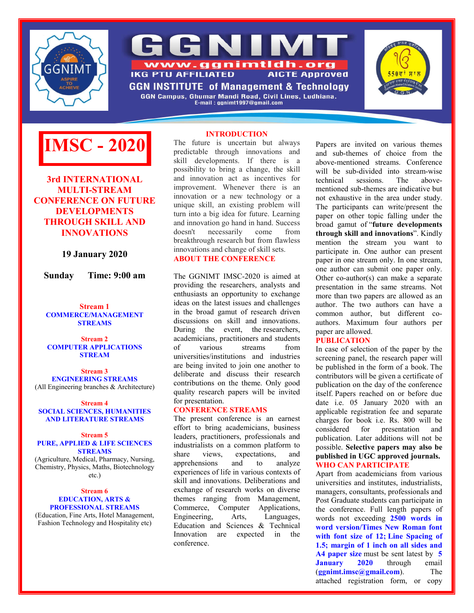



GGN Campus, Ghumar Mandi Road, Civil Lines, Ludhiana. E-mail: ggnimt1997@gmail.com

**INTRODUCTION**





**3rd INTERNATIONAL MULTI-STREAM CONFERENCE ON FUTURE DEVELOPMENTS THROUGH SKILL AND INNOVATIONS**

**19 January 2020**

**Sunday Time: 9:00 am**

**Stream 1 COMMERCE/MANAGEMENT STREAMS**

## **Stream 2 COMPUTER APPLICATIONS STREAM**

**Stream 3 ENGINEERING STREAMS** (All Engineering branches & Architecture)

#### **Stream 4 SOCIAL SCIENCES, HUMANITIES AND LITERATURE STREAMS**

#### **Stream 5 PURE, APPLIED & LIFE SCIENCES STREAMS**

(Agriculture, Medical, Pharmacy, Nursing, Chemistry, Physics, Maths, Biotechnology etc.)

## **Stream 6 EDUCATION, ARTS & PROFESSIONAL STREAMS**

(Education, Fine Arts, Hotel Management, Fashion Technology and Hospitality etc)

The future is uncertain but always predictable through innovations and skill developments. If there is a possibility to bring a change, the skill and innovation act as incentives for improvement. Whenever there is an innovation or a new technology or a unique skill, an existing problem will turn into a big idea for future. Learning and innovation go hand in hand. Success<br>doesn't necessarily come from doesn't necessarily come from breakthrough research but from flawless innovations and change of skill sets. **ABOUT THE CONFERENCE**

## The GGNIMT IMSC-2020 is aimed at providing the researchers, analysts and enthusiasts an opportunity to exchange ideas on the latest issues and challenges in the broad gamut of research driven discussions on skill and innovations. During the event, the researchers, academicians, practitioners and students of various streams from universities/institutions and industries are being invited to join one another to deliberate and discuss their research contributions on the theme. Only good quality research papers will be invited for presentation.

## **CONFERENCE STREAMS**

The present conference is an earnest effort to bring academicians, business leaders, practitioners, professionals and industrialists on a common platform to share views, expectations, and<br>apprehensions and to analyze apprehensions and to analyze experiences of life in various contexts of skill and innovations. Deliberations and exchange of research works on diverse themes ranging from Management, Commerce, Computer Applications, Engineering, Arts, Languages, Education and Sciences & Technical Innovation are expected in the conference.

Papers are invited on various themes and sub-themes of choice from the above-mentioned streams. Conference will be sub-divided into stream-wise technical sessions. The abovementioned sub-themes are indicative but not exhaustive in the area under study. The participants can write/present the paper on other topic falling under the broad gamut of "**future developments through skill and innovations**". Kindly mention the stream you want to participate in. One author can present paper in one stream only. In one stream, one author can submit one paper only. Other co-author(s) can make a separate presentation in the same streams. Not more than two papers are allowed as an author. The two authors can have a common author, but different coauthors. Maximum four authors per paper are allowed.

## **PUBLICATION**

In case of selection of the paper by the screening panel, the research paper will be published in the form of a book. The contributors will be given a certificate of publication on the day of the conference itself. Papers reached on or before due date i.e. 05 January 2020 with an applicable registration fee and separate charges for book i.e. Rs. 800 will be considered for presentation and publication. Later additions will not be possible. **Selective papers may also be published in UGC approved journals. WHO CAN PARTICIPATE**

Apart from academicians from various universities and institutes, industrialists, managers, consultants, professionals and Post Graduate students can participate in the conference. Full length papers of words not exceeding **2500 words in word version/Times New Roman font with font size of 12; Line Spacing of 1.5; margin of 1 inch on all sides and A4 paper size** must be sent latest by **5 January 2020** through email (**ggnimt.imsc@gmail.com**). The attached registration form, or copy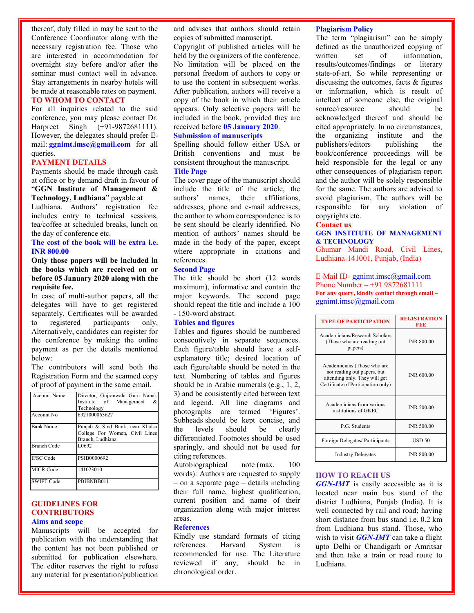thereof, duly filled in may be sent to the Conference Coordinator along with the necessary registration fee. Those who are interested in accommodation for overnight stay before and/or after the seminar must contact well in advance. Stay arrangements in nearby hotels will be made at reasonable rates on payment.

## **TO WHOM TO CONTACT**

For all inquiries related to the said conference, you may please contact Dr. Harpreet Singh (+91-9872681111). However, the delegates should prefer Email: **ggnimt.imsc@gmail.com** for all queries.

## **PAYMENT DETAILS**

Payments should be made through cash at office or by demand draft in favour of "**GGN Institute of Management & Technology, Ludhiana**" payable at Ludhiana. Authors' registration fee includes entry to technical sessions,

tea/coffee at scheduled breaks, lunch on the day of conference etc.

## **The cost of the book will be extra i.e. INR 800.00**

**Only those papers will be included in the books which are received on or before 05 January 2020 along with the requisite fee.**

In case of multi-author papers, all the delegates will have to get registered separately. Certificates will be awarded to registered participants only. Alternatively, candidates can register for the conference by making the online payment as per the details mentioned below:

The contributors will send both the Registration Form and the scanned copy of proof of payment in the same email.

| <b>Account Name</b> | Director, Guiranwala Guru Nanak<br>Institute of Management<br>&<br>Technology         |
|---------------------|---------------------------------------------------------------------------------------|
| Account No.         | 6921000063627                                                                         |
| <b>Bank Name</b>    | Punjab & Sind Bank, near Khalsa<br>College For Women, Civil Lines<br>Branch, Ludhiana |
| Branch Code         | L0692                                                                                 |
| <b>IFSC Code</b>    | PSIB0000692                                                                           |
| <b>MICR Code</b>    | 141023010                                                                             |
| <b>SWIFT Code</b>   | PBIBNBB011                                                                            |

## **GUIDELINES FOR CONTRIBUTORS Aims and scope**

Manuscripts will be accepted for publication with the understanding that the content has not been published or submitted for publication elsewhere. The editor reserves the right to refuse any material for presentation/publication

and advises that authors should retain copies of submitted manuscript.

Copyright of published articles will be held by the organizers of the conference. No limitation will be placed on the personal freedom of authors to copy or to use the content in subsequent works. After publication, authors will receive a copy of the book in which their article appears. Only selective papers will be included in the book, provided they are received before **05 January 2020**.

## **Submission of manuscripts**

Spelling should follow either USA or British conventions and must be consistent throughout the manuscript. **Title Page**

The cover page of the manuscript should include the title of the article, the authors' names, their affiliations, addresses, phone and e-mail addresses; the author to whom correspondence is to be sent should be clearly identified. No mention of authors' names should be made in the body of the paper, except where appropriate in citations and references.

#### **Second Page**

The title should be short (12 words maximum), informative and contain the major keywords. The second page should repeat the title and include a 100 - 150-word abstract.

#### **Tables and figures**

Tables and figures should be numbered consecutively in separate sequences. Each figure/table should have a selfexplanatory title; desired location of each figure/table should be noted in the text. Numbering of tables and figures should be in Arabic numerals (e.g., 1, 2, 3) and be consistently cited between text and legend. All line diagrams and photographs are termed 'Figures'. Subheads should be kept concise, and the levels should be clearly differentiated. Footnotes should be used sparingly, and should not be used for citing references.

Autobiographical note (max. 100 words): Authors are requested to supply – on a separate page – details including their full name, highest qualification, current position and name of their organization along with major interest areas.

## **References**

Kindly use standard formats of citing references. Harvard System is recommended for use. The Literature reviewed if any, should be in chronological order.

### **Plagiarism Policy**

The term "plagiarism" can be simply defined as the unauthorized copying of written set of information, results/outcomes/findings or literary state-of-art. So while representing or discussing the outcomes, facts & figures or information, which is result of intellect of someone else, the original source/resource should be acknowledged thereof and should be cited appropriately. In no circumstances, the organizing institute and the publishers/editors publishing the book/conference proceedings will be held responsible for the legal or any other consequences of plagiarism report and the author will be solely responsible for the same. The authors are advised to avoid plagiarism. The authors will be responsible for any violation of copyrights etc.

## **Contact us**

**GGN INSTITUTE OF MANAGEMENT & TECHNOLOGY**

Ghumar Mandi Road, Civil Lines, Ludhiana-141001, Punjab, (India)

E-Mail ID- ggnimt.imsc@gmail.com Phone Number – +91 9872681111 **For any query, kindly contact through email –** ggnimt.imsc@gmail.com

| <b>TYPE OF PARTICIPATION</b>                                                                                                      | <b>REGISTRATION</b><br>FEE |
|-----------------------------------------------------------------------------------------------------------------------------------|----------------------------|
| Academicians/Research Scholars<br>(Those who are reading out)<br>papers)                                                          | <b>INR 800.00</b>          |
| Academicians (Those who are<br>not reading out papers, but<br>attending only. They will get<br>Certificate of Participation only) | INR 600.00                 |
| Academicians from various<br>institutions of GKEC                                                                                 | <b>INR 500.00</b>          |
| P.G. Students                                                                                                                     | <b>INR 500.00</b>          |
| Foreign Delegates/ Participants                                                                                                   | <b>USD 50</b>              |
| <b>Industry Delegates</b>                                                                                                         | <b>INR 800.00</b>          |

### **HOW TO REACH US**

*GGN-IMT* is easily accessible as it is located near main bus stand of the district Ludhiana, Punjab (India). It is well connected by rail and road; having short distance from bus stand i.e. 0.2 km from Ludhiana bus stand. Those, who wish to visit *GGN-IMT* can take a flight upto Delhi or Chandigarh or Amritsar and then take a train or road route to Ludhiana.